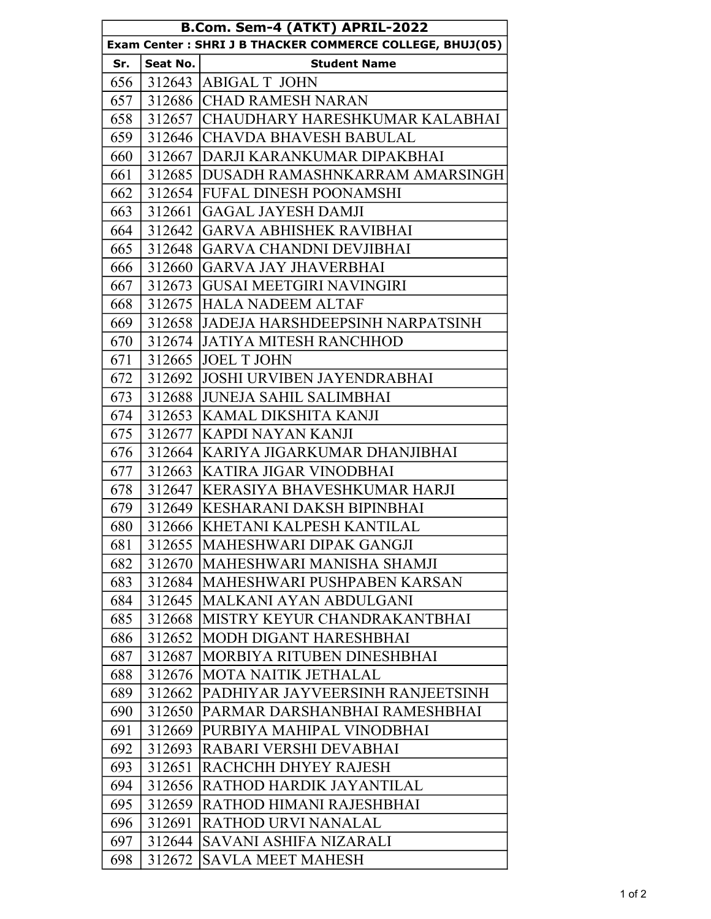| B.Com. Sem-4 (ATKT) APRIL-2022                           |          |                                        |  |
|----------------------------------------------------------|----------|----------------------------------------|--|
| Exam Center: SHRI J B THACKER COMMERCE COLLEGE, BHUJ(05) |          |                                        |  |
| Sr.                                                      | Seat No. | <b>Student Name</b>                    |  |
| 656                                                      |          | 312643 ABIGAL T JOHN                   |  |
| 657                                                      |          | 312686 CHAD RAMESH NARAN               |  |
| 658                                                      |          | 312657 CHAUDHARY HARESHKUMAR KALABHAI  |  |
| 659                                                      |          | 312646 CHAVDA BHAVESH BABULAL          |  |
| 660                                                      |          | 312667   DARJI KARANKUMAR DIPAKBHAI    |  |
| 661                                                      |          | 312685 DUSADH RAMASHNKARRAM AMARSINGH  |  |
| 662                                                      |          | 312654 FUFAL DINESH POONAMSHI          |  |
| 663                                                      | 312661   | <b>GAGAL JAYESH DAMJI</b>              |  |
| 664                                                      |          | 312642 GARVA ABHISHEK RAVIBHAI         |  |
| 665                                                      |          | 312648  GARVA CHANDNI DEVJIBHAI        |  |
| 666                                                      |          | 312660 GARVA JAY JHAVERBHAI            |  |
| 667                                                      |          | 312673 GUSAI MEETGIRI NAVINGIRI        |  |
| 668                                                      |          | 312675 HALA NADEEM ALTAF               |  |
| 669                                                      |          | 312658 JADEJA HARSHDEEPSINH NARPATSINH |  |
| 670                                                      |          | 312674 JATIYA MITESH RANCHHOD          |  |
| 671                                                      |          | 312665 JOEL T JOHN                     |  |
| 672                                                      | 312692   | <b>JOSHI URVIBEN JAYENDRABHAI</b>      |  |
| 673                                                      |          | 312688 JUNEJA SAHIL SALIMBHAI          |  |
| 674                                                      |          | 312653  KAMAL DIKSHITA KANJI           |  |
| 675                                                      | 312677   | <b>KAPDI NAYAN KANJI</b>               |  |
| 676                                                      |          | 312664 KARIYA JIGARKUMAR DHANJIBHAI    |  |
| 677                                                      |          | 312663 KATIRA JIGAR VINODBHAI          |  |
| 678                                                      | 312647   | KERASIYA BHAVESHKUMAR HARJI            |  |
| 679                                                      |          | 312649 KESHARANI DAKSH BIPINBHAI       |  |
| 680                                                      |          | 312666 KHETANI KALPESH KANTILAL        |  |
| 681                                                      | 312655   | MAHESHWARI DIPAK GANGJI                |  |
| 682                                                      | 312670   | MAHESHWARI MANISHA SHAMJI              |  |
| 683                                                      | 312684   | <b>MAHESHWARI PUSHPABEN KARSAN</b>     |  |
| 684                                                      | 312645   | MALKANI AYAN ABDULGANI                 |  |
| 685                                                      | 312668   | MISTRY KEYUR CHANDRAKANTBHAI           |  |
| 686                                                      | 312652   | MODH DIGANT HARESHBHAI                 |  |
| 687                                                      | 312687   | MORBIYA RITUBEN DINESHBHAI             |  |
| 688                                                      | 312676   | <b>MOTA NAITIK JETHALAL</b>            |  |
| 689                                                      | 312662   | PADHIYAR JAYVEERSINH RANJEETSINH       |  |
| 690                                                      | 312650   | PARMAR DARSHANBHAI RAMESHBHAI          |  |
| 691                                                      | 312669   | PURBIYA MAHIPAL VINODBHAI              |  |
| 692                                                      | 312693   | RABARI VERSHI DEVABHAI                 |  |
| 693                                                      | 312651   | RACHCHH DHYEY RAJESH                   |  |
| 694                                                      | 312656   | <b>RATHOD HARDIK JAYANTILAL</b>        |  |
| 695                                                      | 312659   | RATHOD HIMANI RAJESHBHAI               |  |
| 696                                                      | 312691   | RATHOD URVI NANALAL                    |  |
| 697                                                      | 312644   | SAVANI ASHIFA NIZARALI                 |  |
| 698                                                      | 312672   | <b>SAVLA MEET MAHESH</b>               |  |